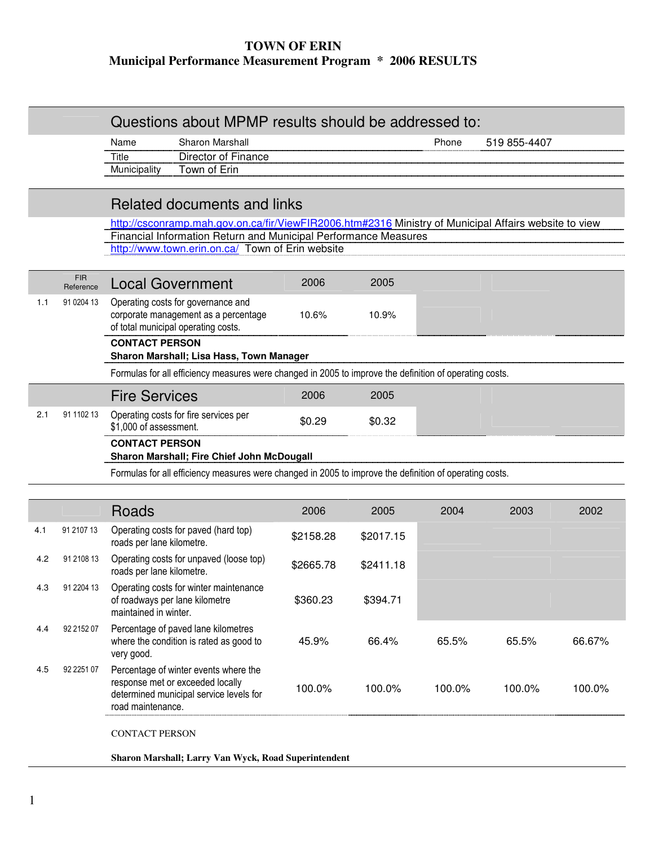# **TOWN OF ERIN Municipal Performance Measurement Program \* 2006 RESULTS**

|     |                         | Questions about MPMP results should be addressed to:                                                                                      |           |           |        |              |        |  |
|-----|-------------------------|-------------------------------------------------------------------------------------------------------------------------------------------|-----------|-----------|--------|--------------|--------|--|
|     |                         | Sharon Marshall<br>Name                                                                                                                   |           |           | Phone  | 519 855-4407 |        |  |
|     |                         | Director of Finance<br>Title                                                                                                              |           |           |        |              |        |  |
|     |                         | Town of Erin<br>Municipality                                                                                                              |           |           |        |              |        |  |
|     |                         |                                                                                                                                           |           |           |        |              |        |  |
|     |                         | Related documents and links                                                                                                               |           |           |        |              |        |  |
|     |                         | http://csconramp.mah.gov.on.ca/fir/ViewFIR2006.htm#2316 Ministry of Municipal Affairs website to view                                     |           |           |        |              |        |  |
|     |                         | Financial Information Return and Municipal Performance Measures<br>http://www.town.erin.on.ca/ Town of Erin website                       |           |           |        |              |        |  |
|     |                         |                                                                                                                                           |           |           |        |              |        |  |
|     | <b>FIR</b><br>Reference | <b>Local Government</b>                                                                                                                   | 2006      | 2005      |        |              |        |  |
| 1.1 | 91 0204 13              | Operating costs for governance and<br>corporate management as a percentage<br>of total municipal operating costs.                         | 10.6%     | 10.9%     |        |              |        |  |
|     |                         | <b>CONTACT PERSON</b><br>Sharon Marshall; Lisa Hass, Town Manager                                                                         |           |           |        |              |        |  |
|     |                         | Formulas for all efficiency measures were changed in 2005 to improve the definition of operating costs.                                   |           |           |        |              |        |  |
|     |                         | <b>Fire Services</b>                                                                                                                      | 2006      | 2005      |        |              |        |  |
| 2.1 | 91 1102 13              | Operating costs for fire services per<br>\$1,000 of assessment.                                                                           | \$0.29    | \$0.32    |        |              |        |  |
|     |                         | <b>CONTACT PERSON</b>                                                                                                                     |           |           |        |              |        |  |
|     |                         | Sharon Marshall; Fire Chief John McDougall                                                                                                |           |           |        |              |        |  |
|     |                         | Formulas for all efficiency measures were changed in 2005 to improve the definition of operating costs.                                   |           |           |        |              |        |  |
|     |                         |                                                                                                                                           |           |           |        |              |        |  |
|     |                         | Roads                                                                                                                                     | 2006      | 2005      | 2004   | 2003         | 2002   |  |
| 4.1 | 91 2107 13              | Operating costs for paved (hard top)<br>roads per lane kilometre.                                                                         | \$2158.28 | \$2017.15 |        |              |        |  |
| 4.2 | 91 2108 13              | Operating costs for unpaved (loose top)<br>roads per lane kilometre.                                                                      | \$2665.78 | \$2411.18 |        |              |        |  |
| 4.3 | 91 2204 13              | Operating costs for winter maintenance<br>of roadways per lane kilometre<br>maintained in winter.                                         | \$360.23  | \$394.71  |        |              |        |  |
| 4.4 | 92 2152 07              | Percentage of paved lane kilometres<br>where the condition is rated as good to<br>very good.                                              | 45.9%     | 66.4%     | 65.5%  | 65.5%        | 66.67% |  |
| 4.5 | 92 2251 07              | Percentage of winter events where the<br>response met or exceeded locally<br>determined municipal service levels for<br>road maintenance. | 100.0%    | 100.0%    | 100.0% | 100.0%       | 100.0% |  |
|     |                         | <b>CONTACT PERSON</b>                                                                                                                     |           |           |        |              |        |  |

**Sharon Marshall; Larry Van Wyck, Road Superintendent**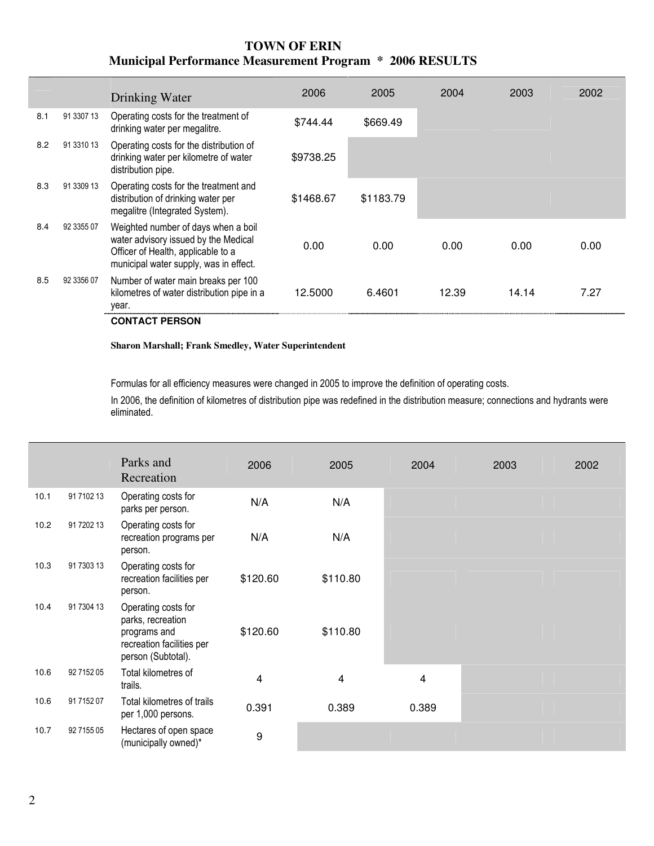## **TOWN OF ERIN Municipal Performance Measurement Program \* 2006 RESULTS**

|     |            | Drinking Water                                                                                                                                              | 2006      | 2005      | 2004  | 2003  | 2002 |
|-----|------------|-------------------------------------------------------------------------------------------------------------------------------------------------------------|-----------|-----------|-------|-------|------|
| 8.1 | 91 3307 13 | Operating costs for the treatment of<br>drinking water per megalitre.                                                                                       | \$744.44  | \$669.49  |       |       |      |
| 8.2 | 91 3310 13 | Operating costs for the distribution of<br>drinking water per kilometre of water<br>distribution pipe.                                                      | \$9738.25 |           |       |       |      |
| 8.3 | 91 3309 13 | Operating costs for the treatment and<br>distribution of drinking water per<br>megalitre (Integrated System).                                               | \$1468.67 | \$1183.79 |       |       |      |
| 8.4 | 92 3355 07 | Weighted number of days when a boil<br>water advisory issued by the Medical<br>Officer of Health, applicable to a<br>municipal water supply, was in effect. | 0.00      | 0.00      | 0.00  | 0.00  | 0.00 |
| 8.5 | 92 3356 07 | Number of water main breaks per 100<br>kilometres of water distribution pipe in a<br>year.                                                                  | 12.5000   | 6.4601    | 12.39 | 14.14 | 7.27 |
|     |            | <b>CONTACT PERSON</b>                                                                                                                                       |           |           |       |       |      |

#### **Sharon Marshall; Frank Smedley, Water Superintendent**

Formulas for all efficiency measures were changed in 2005 to improve the definition of operating costs.

In 2006, the definition of kilometres of distribution pipe was redefined in the distribution measure; connections and hydrants were eliminated.

|      |            | Parks and<br>Recreation                                                                                     | 2006     | 2005     | 2004  | 2003 | 2002 |
|------|------------|-------------------------------------------------------------------------------------------------------------|----------|----------|-------|------|------|
| 10.1 | 91 7102 13 | Operating costs for<br>parks per person.                                                                    | N/A      | N/A      |       |      |      |
| 10.2 | 91 7202 13 | Operating costs for<br>recreation programs per<br>person.                                                   | N/A      | N/A      |       |      |      |
| 10.3 | 91 7303 13 | Operating costs for<br>recreation facilities per<br>person.                                                 | \$120.60 | \$110.80 |       |      |      |
| 10.4 | 91 7304 13 | Operating costs for<br>parks, recreation<br>programs and<br>recreation facilities per<br>person (Subtotal). | \$120.60 | \$110.80 |       |      |      |
| 10.6 | 92 7152 05 | Total kilometres of<br>trails.                                                                              | 4        | 4        | 4     |      |      |
| 10.6 | 91 7152 07 | Total kilometres of trails<br>per 1,000 persons.                                                            | 0.391    | 0.389    | 0.389 |      |      |
| 10.7 | 92 7155 05 | Hectares of open space<br>(municipally owned)*                                                              | 9        |          |       |      |      |